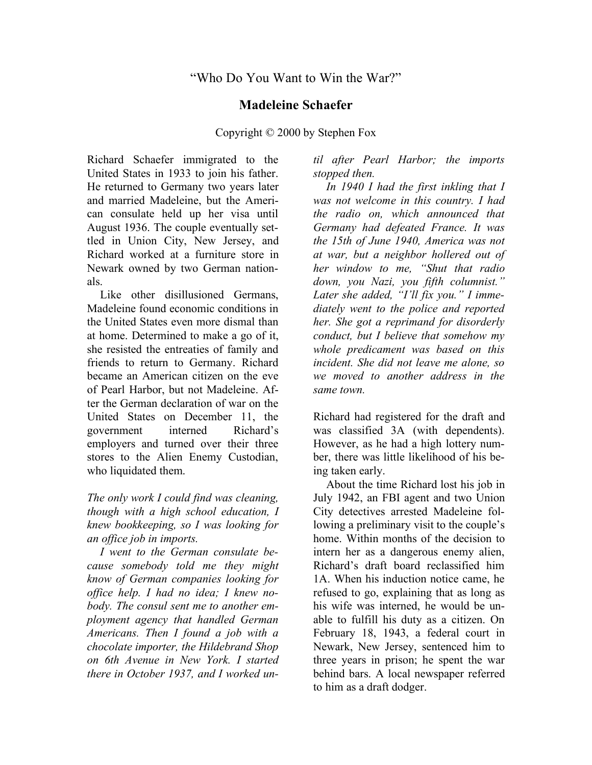## **Madeleine Schaefer**

Copyright © 2000 by Stephen Fox

Richard Schaefer immigrated to the United States in 1933 to join his father. He returned to Germany two years later and married Madeleine, but the American consulate held up her visa until August 1936. The couple eventually settled in Union City, New Jersey, and Richard worked at a furniture store in Newark owned by two German nationals.

Like other disillusioned Germans, Madeleine found economic conditions in the United States even more dismal than at home. Determined to make a go of it, she resisted the entreaties of family and friends to return to Germany. Richard became an American citizen on the eve of Pearl Harbor, but not Madeleine. After the German declaration of war on the United States on December 11, the government interned Richard's employers and turned over their three stores to the Alien Enemy Custodian, who liquidated them.

*The only work I could find was cleaning, though with a high school education, I knew bookkeeping, so I was looking for an office job in imports.* 

*I went to the German consulate because somebody told me they might know of German companies looking for office help. I had no idea; I knew nobody. The consul sent me to another employment agency that handled German Americans. Then I found a job with a chocolate importer, the Hildebrand Shop on 6th Avenue in New York. I started there in October 1937, and I worked un-* *til after Pearl Harbor; the imports stopped then.* 

*In 1940 I had the first inkling that I was not welcome in this country. I had the radio on, which announced that Germany had defeated France. It was the 15th of June 1940, America was not at war, but a neighbor hollered out of her window to me, "Shut that radio down, you Nazi, you fifth columnist." Later she added, "I'll fix you." I immediately went to the police and reported her. She got a reprimand for disorderly conduct, but I believe that somehow my whole predicament was based on this incident. She did not leave me alone, so we moved to another address in the same town.*

Richard had registered for the draft and was classified 3A (with dependents). However, as he had a high lottery number, there was little likelihood of his being taken early.

About the time Richard lost his job in July 1942, an FBI agent and two Union City detectives arrested Madeleine following a preliminary visit to the couple's home. Within months of the decision to intern her as a dangerous enemy alien, Richard's draft board reclassified him 1A. When his induction notice came, he refused to go, explaining that as long as his wife was interned, he would be unable to fulfill his duty as a citizen. On February 18, 1943, a federal court in Newark, New Jersey, sentenced him to three years in prison; he spent the war behind bars. A local newspaper referred to him as a draft dodger.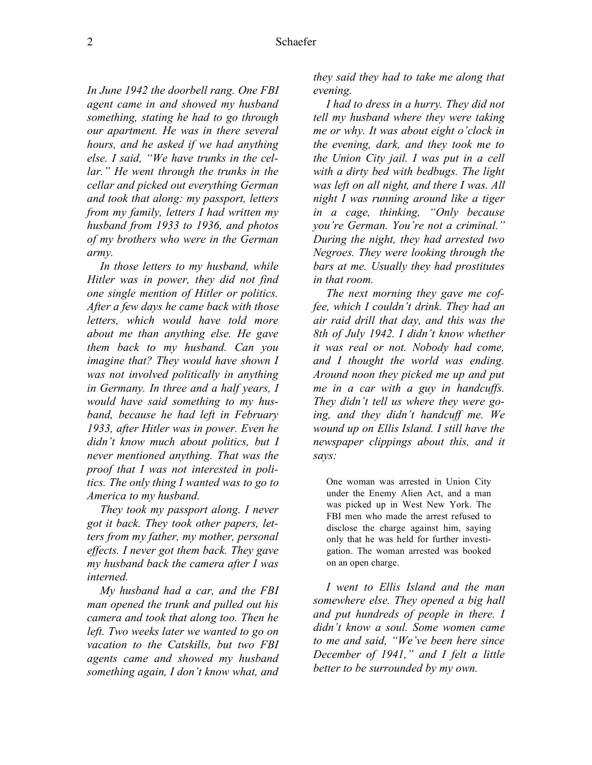*In June 1942 the doorbell rang. One FBI agent came in and showed my husband something, stating he had to go through our apartment. He was in there several hours, and he asked if we had anything else. I said, "We have trunks in the cellar." He went through the trunks in the cellar and picked out everything German and took that along: my passport, letters from my family, letters I had written my husband from 1933 to 1936, and photos of my brothers who were in the German army.* 

*In those letters to my husband, while Hitler was in power, they did not find one single mention of Hitler or politics. After a few days he came back with those letters, which would have told more about me than anything else. He gave them back to my husband. Can you imagine that? They would have shown I was not involved politically in anything in Germany. In three and a half years, I would have said something to my husband, because he had left in February 1933, after Hitler was in power. Even he didn't know much about politics, but I never mentioned anything. That was the proof that I was not interested in politics. The only thing I wanted was to go to America to my husband.*

*They took my passport along. I never got it back. They took other papers, letters from my father, my mother, personal effects. I never got them back. They gave my husband back the camera after I was interned.* 

*My husband had a car, and the FBI man opened the trunk and pulled out his camera and took that along too. Then he left. Two weeks later we wanted to go on vacation to the Catskills, but two FBI agents came and showed my husband something again, I don't know what, and* 

*they said they had to take me along that evening.* 

*I had to dress in a hurry. They did not tell my husband where they were taking me or why. It was about eight o'clock in the evening, dark, and they took me to the Union City jail. I was put in a cell with a dirty bed with bedbugs. The light was left on all night, and there I was. All night I was running around like a tiger in a cage, thinking, "Only because you're German. You're not a criminal." During the night, they had arrested two Negroes. They were looking through the bars at me. Usually they had prostitutes in that room.* 

*The next morning they gave me coffee, which I couldn't drink. They had an air raid drill that day, and this was the 8th of July 1942. I didn't know whether it was real or not. Nobody had come, and I thought the world was ending. Around noon they picked me up and put me in a car with a guy in handcuffs. They didn't tell us where they were going, and they didn't handcuff me. We wound up on Ellis Island. I still have the newspaper clippings about this, and it says:*

One woman was arrested in Union City under the Enemy Alien Act, and a man was picked up in West New York. The FBI men who made the arrest refused to disclose the charge against him, saying only that he was held for further investigation. The woman arrested was booked on an open charge.

*I went to Ellis Island and the man somewhere else. They opened a big hall and put hundreds of people in there. I didn't know a soul. Some women came to me and said, "We've been here since December of 1941," and I felt a little better to be surrounded by my own.*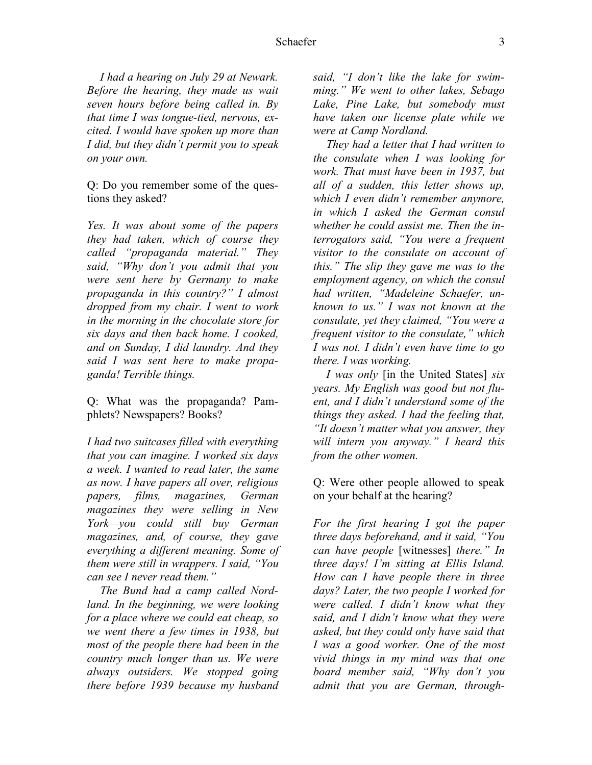*I had a hearing on July 29 at Newark. Before the hearing, they made us wait seven hours before being called in. By that time I was tongue-tied, nervous, excited. I would have spoken up more than I did, but they didn't permit you to speak on your own.*

Q: Do you remember some of the questions they asked?

*Yes. It was about some of the papers they had taken, which of course they called "propaganda material." They said, "Why don't you admit that you were sent here by Germany to make propaganda in this country?" I almost dropped from my chair. I went to work in the morning in the chocolate store for six days and then back home. I cooked, and on Sunday, I did laundry. And they said I was sent here to make propaganda! Terrible things.* 

Q: What was the propaganda? Pamphlets? Newspapers? Books?

*I had two suitcases filled with everything that you can imagine. I worked six days a week. I wanted to read later, the same as now. I have papers all over, religious papers, films, magazines, German magazines they were selling in New York—you could still buy German magazines, and, of course, they gave everything a different meaning. Some of them were still in wrappers. I said, "You can see I never read them."* 

*The Bund had a camp called Nordland. In the beginning, we were looking for a place where we could eat cheap, so we went there a few times in 1938, but most of the people there had been in the country much longer than us. We were always outsiders. We stopped going there before 1939 because my husband* 

*said, "I don't like the lake for swimming." We went to other lakes, Sebago Lake, Pine Lake, but somebody must have taken our license plate while we were at Camp Nordland.* 

*They had a letter that I had written to the consulate when I was looking for work. That must have been in 1937, but all of a sudden, this letter shows up, which I even didn't remember anymore, in which I asked the German consul whether he could assist me. Then the interrogators said, "You were a frequent visitor to the consulate on account of this." The slip they gave me was to the employment agency, on which the consul had written, "Madeleine Schaefer, unknown to us." I was not known at the consulate, yet they claimed, "You were a frequent visitor to the consulate," which I was not. I didn't even have time to go there. I was working.*

*I was only* [in the United States] *six years. My English was good but not fluent, and I didn't understand some of the things they asked. I had the feeling that, "It doesn't matter what you answer, they will intern you anyway." I heard this from the other women.* 

Q: Were other people allowed to speak on your behalf at the hearing?

*For the first hearing I got the paper three days beforehand, and it said, "You can have people* [witnesses] *there." In three days! I'm sitting at Ellis Island. How can I have people there in three days? Later, the two people I worked for were called. I didn't know what they said, and I didn't know what they were asked, but they could only have said that I was a good worker. One of the most vivid things in my mind was that one board member said, "Why don't you admit that you are German, through-*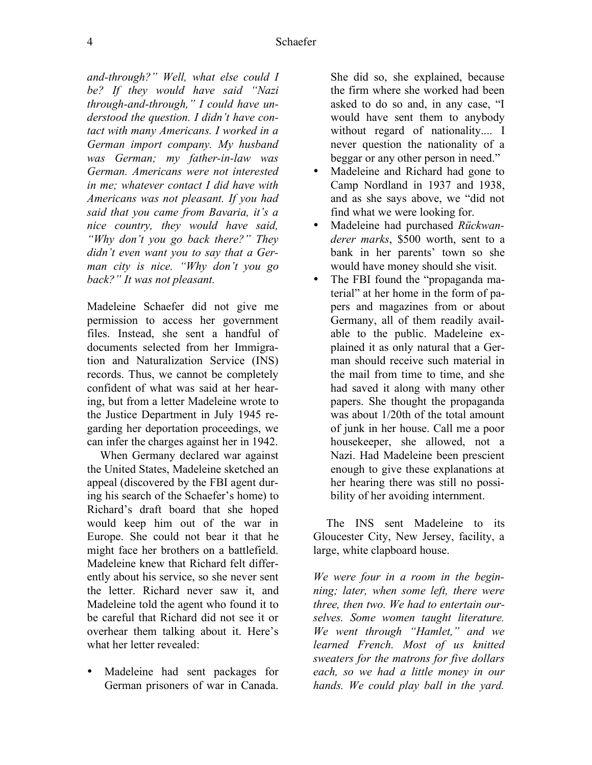*and-through?" Well, what else could I be? If they would have said "Nazi through-and-through," I could have understood the question. I didn't have contact with many Americans. I worked in a German import company. My husband was German; my father-in-law was German. Americans were not interested in me; whatever contact I did have with Americans was not pleasant. If you had said that you came from Bavaria, it's a nice country, they would have said, "Why don't you go back there?" They didn't even want you to say that a German city is nice. "Why don't you go back?" It was not pleasant.* 

Madeleine Schaefer did not give me permission to access her government files. Instead, she sent a handful of documents selected from her Immigration and Naturalization Service (INS) records. Thus, we cannot be completely confident of what was said at her hearing, but from a letter Madeleine wrote to the Justice Department in July 1945 regarding her deportation proceedings, we can infer the charges against her in 1942.

When Germany declared war against the United States, Madeleine sketched an appeal (discovered by the FBI agent during his search of the Schaefer's home) to Richard's draft board that she hoped would keep him out of the war in Europe. She could not bear it that he might face her brothers on a battlefield. Madeleine knew that Richard felt differently about his service, so she never sent the letter. Richard never saw it, and Madeleine told the agent who found it to be careful that Richard did not see it or overhear them talking about it. Here's what her letter revealed:

Madeleine had sent packages for German prisoners of war in Canada.

She did so, she explained, because the firm where she worked had been asked to do so and, in any case, "I would have sent them to anybody without regard of nationality.... I never question the nationality of a beggar or any other person in need."

- Madeleine and Richard had gone to Camp Nordland in 1937 and 1938, and as she says above, we "did not find what we were looking for.
- Madeleine had purchased *Rückwanderer marks*, \$500 worth, sent to a bank in her parents' town so she would have money should she visit.
- The FBI found the "propaganda material" at her home in the form of papers and magazines from or about Germany, all of them readily available to the public. Madeleine explained it as only natural that a German should receive such material in the mail from time to time, and she had saved it along with many other papers. She thought the propaganda was about 1/20th of the total amount of junk in her house. Call me a poor housekeeper, she allowed, not a Nazi. Had Madeleine been prescient enough to give these explanations at her hearing there was still no possibility of her avoiding internment.

The INS sent Madeleine to its Gloucester City, New Jersey, facility, a large, white clapboard house.

*We were four in a room in the beginning; later, when some left, there were three, then two. We had to entertain ourselves. Some women taught literature. We went through "Hamlet," and we learned French. Most of us knitted sweaters for the matrons for five dollars each, so we had a little money in our hands. We could play ball in the yard.*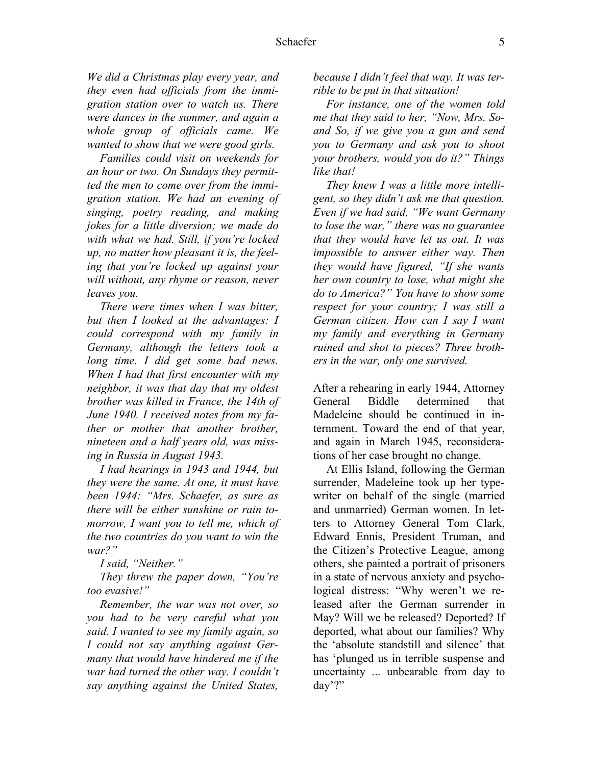*We did a Christmas play every year, and they even had officials from the immigration station over to watch us. There were dances in the summer, and again a whole group of officials came. We wanted to show that we were good girls.*

*Families could visit on weekends for an hour or two. On Sundays they permitted the men to come over from the immigration station. We had an evening of singing, poetry reading, and making jokes for a little diversion; we made do with what we had. Still, if you're locked up, no matter how pleasant it is, the feeling that you're locked up against your will without, any rhyme or reason, never leaves you.* 

*There were times when I was bitter, but then I looked at the advantages: I could correspond with my family in Germany, although the letters took a long time. I did get some bad news. When I had that first encounter with my neighbor, it was that day that my oldest brother was killed in France, the 14th of June 1940. I received notes from my father or mother that another brother, nineteen and a half years old, was missing in Russia in August 1943.* 

*I had hearings in 1943 and 1944, but they were the same. At one, it must have been 1944: "Mrs. Schaefer, as sure as there will be either sunshine or rain tomorrow, I want you to tell me, which of the two countries do you want to win the war?"* 

*I said, "Neither."* 

*They threw the paper down, "You're too evasive!"* 

*Remember, the war was not over, so you had to be very careful what you said. I wanted to see my family again, so I could not say anything against Germany that would have hindered me if the war had turned the other way. I couldn't say anything against the United States,* 

*because I didn't feel that way. It was terrible to be put in that situation!* 

*For instance, one of the women told me that they said to her, "Now, Mrs. Soand So, if we give you a gun and send you to Germany and ask you to shoot your brothers, would you do it?" Things like that!*

*They knew I was a little more intelligent, so they didn't ask me that question. Even if we had said, "We want Germany to lose the war," there was no guarantee that they would have let us out. It was impossible to answer either way. Then they would have figured, "If she wants her own country to lose, what might she do to America?" You have to show some respect for your country; I was still a German citizen. How can I say I want my family and everything in Germany ruined and shot to pieces? Three brothers in the war, only one survived.* 

After a rehearing in early 1944, Attorney General Biddle determined that Madeleine should be continued in internment. Toward the end of that year, and again in March 1945, reconsiderations of her case brought no change.

At Ellis Island, following the German surrender, Madeleine took up her typewriter on behalf of the single (married and unmarried) German women. In letters to Attorney General Tom Clark, Edward Ennis, President Truman, and the Citizen's Protective League, among others, she painted a portrait of prisoners in a state of nervous anxiety and psychological distress: "Why weren't we released after the German surrender in May? Will we be released? Deported? If deported, what about our families? Why the 'absolute standstill and silence' that has 'plunged us in terrible suspense and uncertainty ... unbearable from day to day'?"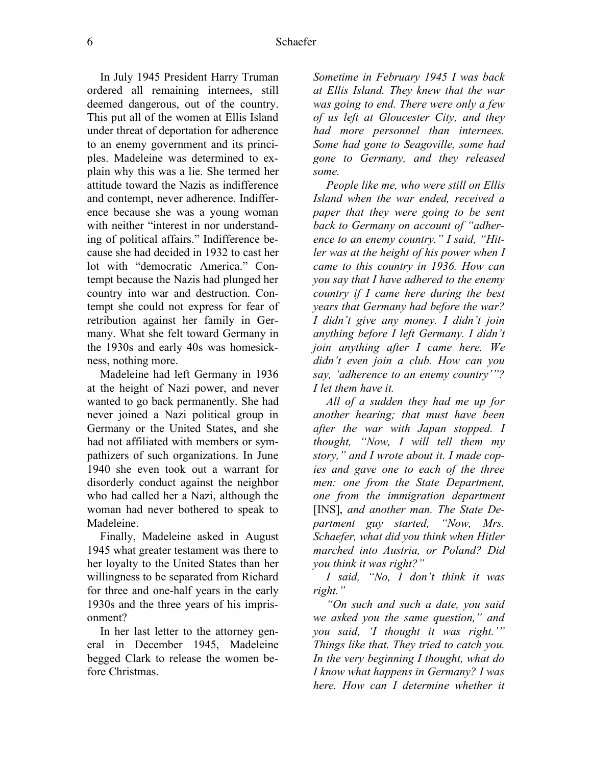In July 1945 President Harry Truman ordered all remaining internees, still deemed dangerous, out of the country. This put all of the women at Ellis Island under threat of deportation for adherence to an enemy government and its principles. Madeleine was determined to explain why this was a lie. She termed her attitude toward the Nazis as indifference and contempt, never adherence. Indifference because she was a young woman with neither "interest in nor understanding of political affairs." Indifference because she had decided in 1932 to cast her lot with "democratic America." Contempt because the Nazis had plunged her country into war and destruction. Contempt she could not express for fear of retribution against her family in Germany. What she felt toward Germany in the 1930s and early 40s was homesickness, nothing more.

Madeleine had left Germany in 1936 at the height of Nazi power, and never wanted to go back permanently. She had never joined a Nazi political group in Germany or the United States, and she had not affiliated with members or sympathizers of such organizations. In June 1940 she even took out a warrant for disorderly conduct against the neighbor who had called her a Nazi, although the woman had never bothered to speak to Madeleine.

Finally, Madeleine asked in August 1945 what greater testament was there to her loyalty to the United States than her willingness to be separated from Richard for three and one-half years in the early 1930s and the three years of his imprisonment?

In her last letter to the attorney general in December 1945, Madeleine begged Clark to release the women before Christmas.

*Sometime in February 1945 I was back at Ellis Island. They knew that the war was going to end. There were only a few of us left at Gloucester City, and they had more personnel than internees. Some had gone to Seagoville, some had gone to Germany, and they released some.* 

*People like me, who were still on Ellis Island when the war ended, received a paper that they were going to be sent back to Germany on account of "adherence to an enemy country." I said, "Hitler was at the height of his power when I came to this country in 1936. How can you say that I have adhered to the enemy country if I came here during the best years that Germany had before the war? I didn't give any money. I didn't join anything before I left Germany. I didn't join anything after I came here. We didn't even join a club. How can you say, 'adherence to an enemy country'"? I let them have it.* 

*All of a sudden they had me up for another hearing; that must have been after the war with Japan stopped. I thought, "Now, I will tell them my story," and I wrote about it. I made copies and gave one to each of the three men: one from the State Department, one from the immigration department*  [INS], *and another man. The State Department guy started, "Now, Mrs. Schaefer, what did you think when Hitler marched into Austria, or Poland? Did you think it was right?"* 

*I said, "No, I don't think it was right."* 

*"On such and such a date, you said we asked you the same question," and you said, 'I thought it was right.'" Things like that. They tried to catch you. In the very beginning I thought, what do I know what happens in Germany? I was here. How can I determine whether it*